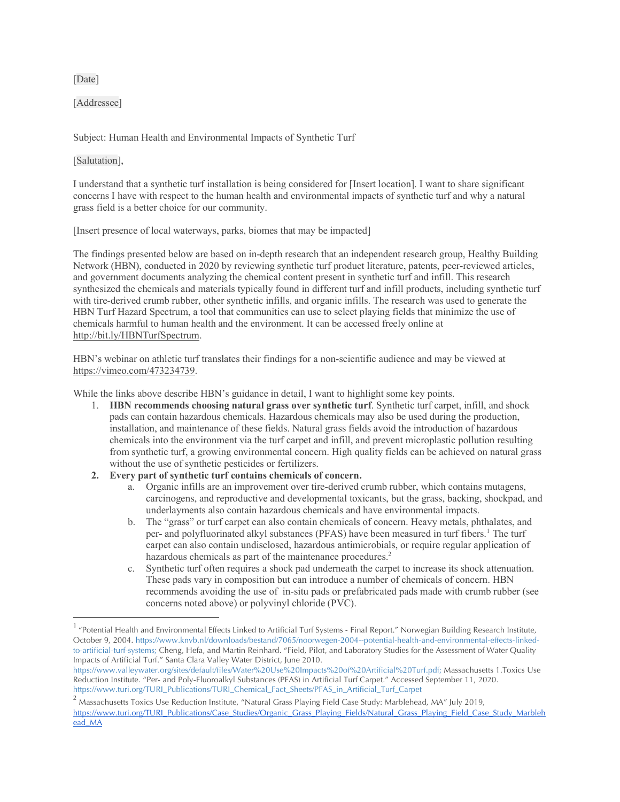[Date]

[Addressee]

Subject: Human Health and Environmental Impacts of Synthetic Turf

[Salutation],

I understand that a synthetic turf installation is being considered for [Insert location]. I want to share significant concerns I have with respect to the human health and environmental impacts of synthetic turf and why a natural grass field is a better choice for our community.

[Insert presence of local waterways, parks, biomes that may be impacted]

The findings presented below are based on in-depth research that an independent research group, Healthy Building Network (HBN), conducted in 2020 by reviewing synthetic turf product literature, patents, peer-reviewed articles, and government documents analyzing the chemical content present in synthetic turf and infill. This research synthesized the chemicals and materials typically found in different turf and infill products, including synthetic turf with tire-derived crumb rubber, other synthetic infills, and organic infills. The research was used to generate the HBN Turf Hazard Spectrum, a tool that communities can use to select playing fields that minimize the use of chemicals harmful to human health and the environment. It can be accessed freely online at http://bit.ly/HBNTurfSpectrum.

HBN's webinar on athletic turf translates their findings for a non-scientific audience and may be viewed at https://vimeo.com/473234739.

While the links above describe HBN's guidance in detail, I want to highlight some key points.

- 1. **HBN recommends choosing natural grass over synthetic turf**. Synthetic turf carpet, infill, and shock pads can contain hazardous chemicals. Hazardous chemicals may also be used during the production, installation, and maintenance of these fields. Natural grass fields avoid the introduction of hazardous chemicals into the environment via the turf carpet and infill, and prevent microplastic pollution resulting from synthetic turf, a growing environmental concern. High quality fields can be achieved on natural grass without the use of synthetic pesticides or fertilizers.
- **2. Every part of synthetic turf contains chemicals of concern.**
	- a. Organic infills are an improvement over tire-derived crumb rubber, which contains mutagens, carcinogens, and reproductive and developmental toxicants, but the grass, backing, shockpad, and underlayments also contain hazardous chemicals and have environmental impacts.
	- b. The "grass" or turf carpet can also contain chemicals of concern. Heavy metals, phthalates, and per- and polyfluorinated alkyl substances (PFAS) have been measured in turf fibers.1 The turf carpet can also contain undisclosed, hazardous antimicrobials, or require regular application of hazardous chemicals as part of the maintenance procedures.<sup>2</sup>
	- c. Synthetic turf often requires a shock pad underneath the carpet to increase its shock attenuation. These pads vary in composition but can introduce a number of chemicals of concern. HBN recommends avoiding the use of in-situ pads or prefabricated pads made with crumb rubber (see concerns noted above) or polyvinyl chloride (PVC).

<sup>&</sup>lt;sup>1</sup> "Potential Health and Environmental Effects Linked to Artificial Turf Systems - Final Report." Norwegian Building Research Institute, October 9, 2004. https://www.knvb.nl/downloads/bestand/7065/noorwegen-2004--potential-health-and-environmental-effects-linkedto-artificial-turf-systems; Cheng, Hefa, and Martin Reinhard. "Field, Pilot, and Laboratory Studies for the Assessment of Water Quality Impacts of Artificial Turf." Santa Clara Valley Water District, June 2010.

https://www.valleywater.org/sites/default/files/Water%20Use%20Impacts%20of%20Artificial%20Turf.pdf; Massachusetts 1.Toxics Use Reduction Institute. "Per- and Poly-Fluoroalkyl Substances (PFAS) in Artificial Turf Carpet." Accessed September 11, 2020. https://www.turi.org/TURI\_Publications/TURI\_Chemical\_Fact\_Sheets/PFAS\_in\_Artificial\_Turf\_Carpet

 $2$  Massachusetts Toxics Use Reduction Institute, "Natural Grass Playing Field Case Study: Marblehead, MA" July 2019, https://www.turi.org/TURI\_Publications/Case\_Studies/Organic\_Grass\_Playing\_Fields/Natural\_Grass\_Playing\_Field\_Case\_Study\_Marbleh ead\_MA